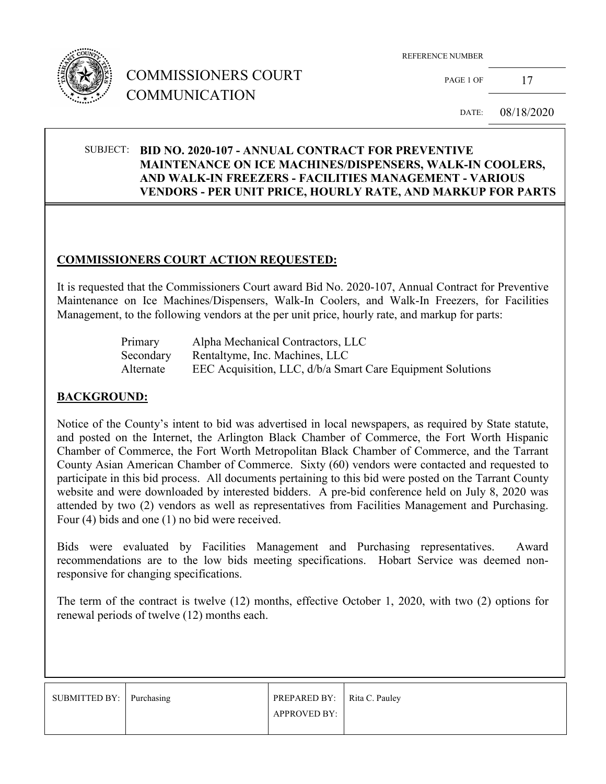

# COMMISSIONERS COURT COMMUNICATION

PAGE 1 OF  $17$ 

DATE: 08/18/2020

### SUBJECT: **BID NO. 2020-107 - ANNUAL CONTRACT FOR PREVENTIVE MAINTENANCE ON ICE MACHINES/DISPENSERS, WALK-IN COOLERS, AND WALK-IN FREEZERS - FACILITIES MANAGEMENT - VARIOUS VENDORS - PER UNIT PRICE, HOURLY RATE, AND MARKUP FOR PARTS**

#### **COMMISSIONERS COURT ACTION REQUESTED:**

It is requested that the Commissioners Court award Bid No. 2020-107, Annual Contract for Preventive Maintenance on Ice Machines/Dispensers, Walk-In Coolers, and Walk-In Freezers, for Facilities Management, to the following vendors at the per unit price, hourly rate, and markup for parts:

| Primary   | Alpha Mechanical Contractors, LLC                          |  |
|-----------|------------------------------------------------------------|--|
| Secondary | Rentaltyme, Inc. Machines, LLC                             |  |
| Alternate | EEC Acquisition, LLC, d/b/a Smart Care Equipment Solutions |  |

#### **BACKGROUND:**

Notice of the County's intent to bid was advertised in local newspapers, as required by State statute, and posted on the Internet, the Arlington Black Chamber of Commerce, the Fort Worth Hispanic Chamber of Commerce, the Fort Worth Metropolitan Black Chamber of Commerce, and the Tarrant County Asian American Chamber of Commerce. Sixty (60) vendors were contacted and requested to participate in this bid process. All documents pertaining to this bid were posted on the Tarrant County website and were downloaded by interested bidders. A pre-bid conference held on July 8, 2020 was attended by two (2) vendors as well as representatives from Facilities Management and Purchasing. Four (4) bids and one (1) no bid were received.

Bids were evaluated by Facilities Management and Purchasing representatives. Award recommendations are to the low bids meeting specifications. Hobart Service was deemed nonresponsive for changing specifications.

The term of the contract is twelve (12) months, effective October 1, 2020, with two (2) options for renewal periods of twelve (12) months each.

| SUBMITTED BY: Purchasing | <b>PREPARED BY:</b> $\parallel$ Rita C. Pauley |  |
|--------------------------|------------------------------------------------|--|
|                          | APPROVED BY:                                   |  |